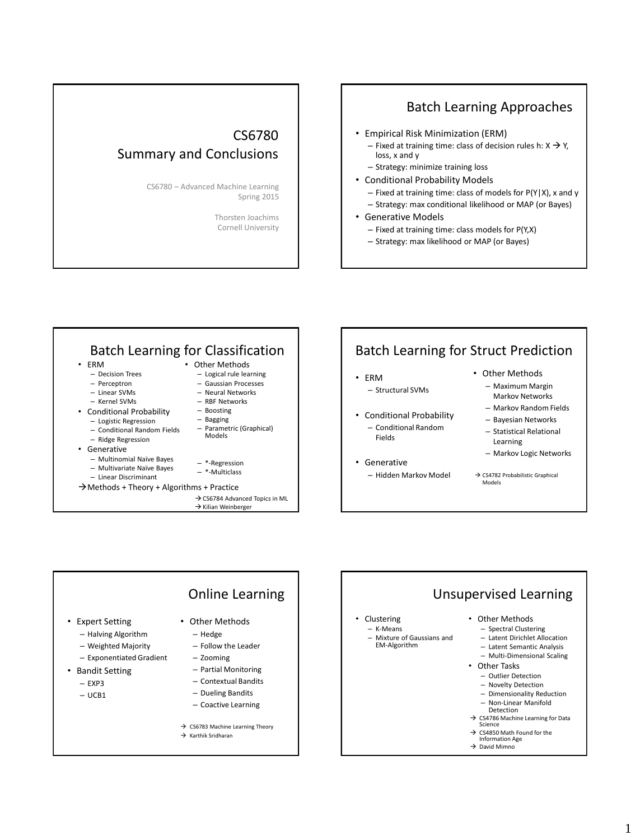## CS6780 Summary and Conclusions

CS6780 – Advanced Machine Learning Spring 2015

> Thorsten Joachims Cornell University

## Batch Learning Approaches

- Empirical Risk Minimization (ERM)
	- Fixed at training time: class of decision rules h:  $X \rightarrow Y$ , loss, x and y
	- Strategy: minimize training loss
- Conditional Probability Models
	- Fixed at training time: class of models for P(Y|X), x and y
	- Strategy: max conditional likelihood or MAP (or Bayes)
- Generative Models
	- Fixed at training time: class models for P(Y,X)
	- Strategy: max likelihood or MAP (or Bayes)





# Unsupervised Learning

#### • Other Methods

- Spectral Clustering
- Latent Dirichlet Allocation
- Latent Semantic Analysis – Multi-Dimensional Scaling
- Other Tasks
	- Outlier Detection
	- Novelty Detection
	- Dimensionality Reduction
	- Non-Linear Manifold
	- Detection
- → CS4786 Machine Learning for Data<br>Science
- 
- → CS4850 Math Found for the Information Age  $\rightarrow$  David Mimno

1